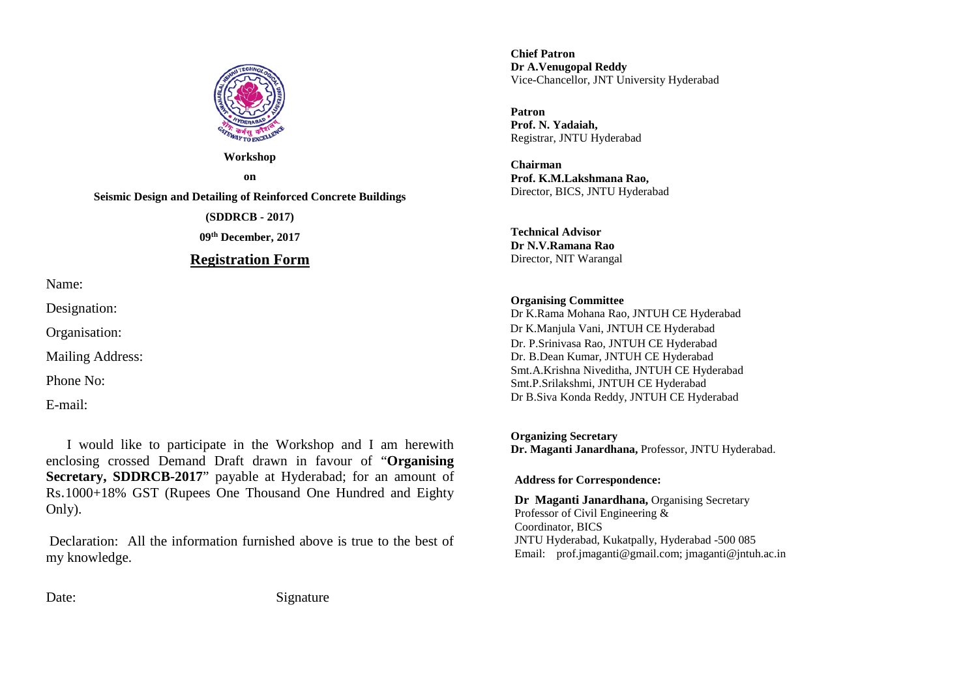

**Seismic Design and Detailing of Reinforced Concrete Buildings**

**(SDDRCB - 2017)**

**09th December, 2017**

### **Registration Form**

Name:

Designation:

Organisation:

Mailing Address:

Phone No:

E-mail:

I would like to participate in the Workshop and I am herewith enclosing crossed Demand Draft drawn in favour of "**Organising Secretary, SDDRCB-2017**" payable at Hyderabad; for an amount of Rs.1000+18% GST (Rupees One Thousand One Hundred and Eighty Only).

Declaration: All the information furnished above is true to the best of my knowledge.

Date: Signature

**Chief Patron Dr A.Venugopal Reddy** Vice-Chancellor, JNT University Hyderabad

**Patron Prof. N. Yadaiah,**  Registrar, JNTU Hyderabad

**Chairman Prof. K.M.Lakshmana Rao,** Director, BICS, JNTU Hyderabad

**Technical Advisor Dr N.V.Ramana Rao** Director, NIT Warangal

### **Organising Committee**

Dr K.Rama Mohana Rao, JNTUH CE Hyderabad Dr K.Manjula Vani, JNTUH CE Hyderabad Dr. P.Srinivasa Rao, JNTUH CE Hyderabad Dr. B.Dean Kumar, JNTUH CE Hyderabad Smt.A.Krishna Niveditha, JNTUH CE Hyderabad Smt.P.Srilakshmi, JNTUH CE Hyderabad Dr B.Siva Konda Reddy, JNTUH CE Hyderabad

**Organizing Secretary Dr. Maganti Janardhana,** Professor, JNTU Hyderabad.

**Address for Correspondence:**

**Dr Maganti Janardhana, Organising Secretary** Professor of Civil Engineering & Coordinator, BICS JNTU Hyderabad, Kukatpally, Hyderabad -500 085 Email: prof.jmaganti@gmail.com; jmaganti@jntuh.ac.in